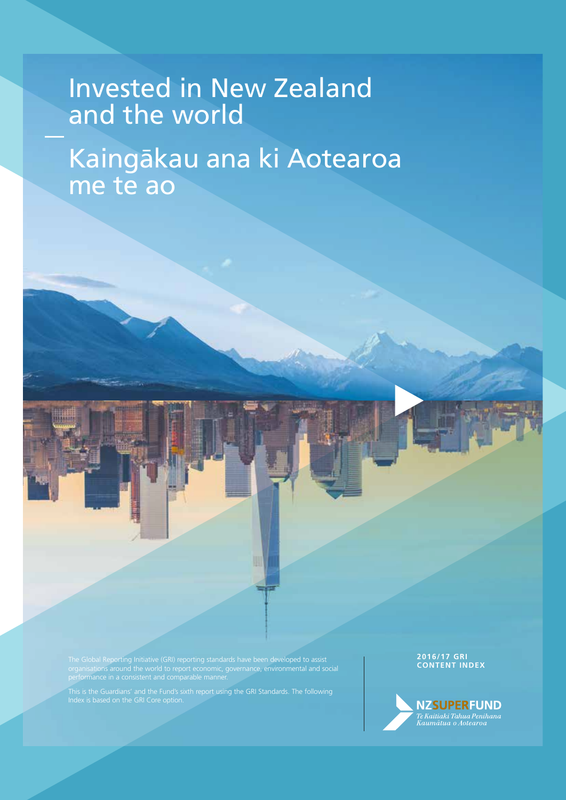# Invested in and the world Invested in New Zealand

the world Kaingākau ana ki Aotearoa me te ao

**CONTENT INDEX** The Global Reporting Initiative (GRI) reporting standards have been developed to assist organisations around the world to report economic, governance, environmental and social

This is the Guardians' and the Fund's sixth report using the GRI Standards. The following

## **2017 2016/17 GRI**

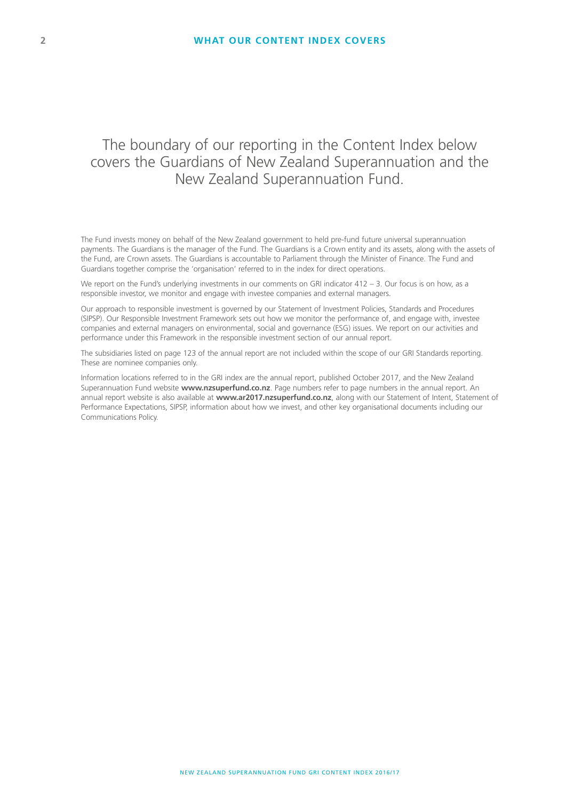### The boundary of our reporting in the Content Index below covers the Guardians of New Zealand Superannuation and the New Zealand Superannuation Fund.

The Fund invests money on behalf of the New Zealand government to held pre-fund future universal superannuation payments. The Guardians is the manager of the Fund. The Guardians is a Crown entity and its assets, along with the assets of the Fund, are Crown assets. The Guardians is accountable to Parliament through the Minister of Finance. The Fund and Guardians together comprise the 'organisation' referred to in the index for direct operations.

We report on the Fund's underlying investments in our comments on GRI indicator  $412 - 3$ . Our focus is on how, as a responsible investor, we monitor and engage with investee companies and external managers.

Our approach to responsible investment is governed by our Statement of Investment Policies, Standards and Procedures (SIPSP). Our Responsible Investment Framework sets out how we monitor the performance of, and engage with, investee companies and external managers on environmental, social and governance (ESG) issues. We report on our activities and performance under this Framework in the responsible investment section of our annual report.

The subsidiaries listed on page 123 of the annual report are not included within the scope of our GRI Standards reporting. These are nominee companies only.

Information locations referred to in the GRI index are the annual report, published October 2017, and the New Zealand Superannuation Fund website **www.nzsuperfund.co.nz**. Page numbers refer to page numbers in the annual report. An annual report website is also available at **www.ar2017.nzsuperfund.co.nz**, along with our Statement of Intent, Statement of Performance Expectations, SIPSP, information about how we invest, and other key organisational documents including our Communications Policy.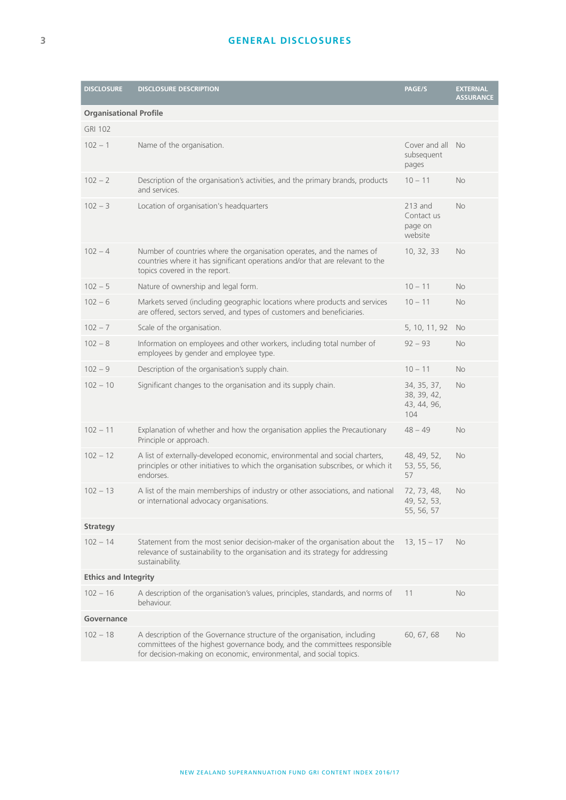| <b>DISCLOSURE</b>             | <b>DISCLOSURE DESCRIPTION</b>                                                                                                                                                                                               | PAGE/S                                           | <b>EXTERNAL</b><br><b>ASSURANCE</b> |  |
|-------------------------------|-----------------------------------------------------------------------------------------------------------------------------------------------------------------------------------------------------------------------------|--------------------------------------------------|-------------------------------------|--|
| <b>Organisational Profile</b> |                                                                                                                                                                                                                             |                                                  |                                     |  |
| <b>GRI 102</b>                |                                                                                                                                                                                                                             |                                                  |                                     |  |
| $102 - 1$                     | Name of the organisation.                                                                                                                                                                                                   | Cover and all<br>subsequent<br>pages             | <b>No</b>                           |  |
| $102 - 2$                     | Description of the organisation's activities, and the primary brands, products<br>and services.                                                                                                                             | $10 - 11$                                        | <b>No</b>                           |  |
| $102 - 3$                     | Location of organisation's headquarters                                                                                                                                                                                     | $213$ and<br>Contact us<br>page on<br>website    | <b>No</b>                           |  |
| $102 - 4$                     | Number of countries where the organisation operates, and the names of<br>countries where it has significant operations and/or that are relevant to the<br>topics covered in the report.                                     | 10, 32, 33                                       | <b>No</b>                           |  |
| $102 - 5$                     | Nature of ownership and legal form.                                                                                                                                                                                         | $10 - 11$                                        | No                                  |  |
| $102 - 6$                     | Markets served (including geographic locations where products and services<br>are offered, sectors served, and types of customers and beneficiaries.                                                                        | $10 - 11$                                        | No                                  |  |
| $102 - 7$                     | Scale of the organisation.                                                                                                                                                                                                  | 5, 10, 11, 92                                    | <b>No</b>                           |  |
| $102 - 8$                     | Information on employees and other workers, including total number of<br>employees by gender and employee type.                                                                                                             | $92 - 93$                                        | No                                  |  |
| $102 - 9$                     | Description of the organisation's supply chain.                                                                                                                                                                             | $10 - 11$                                        | <b>No</b>                           |  |
| $102 - 10$                    | Significant changes to the organisation and its supply chain.                                                                                                                                                               | 34, 35, 37,<br>38, 39, 42,<br>43, 44, 96,<br>104 | No                                  |  |
| $102 - 11$                    | Explanation of whether and how the organisation applies the Precautionary<br>Principle or approach.                                                                                                                         | $48 - 49$                                        | <b>No</b>                           |  |
| $102 - 12$                    | A list of externally-developed economic, environmental and social charters,<br>principles or other initiatives to which the organisation subscribes, or which it<br>endorses.                                               | 48, 49, 52,<br>53, 55, 56,<br>57                 | <b>No</b>                           |  |
| $102 - 13$                    | A list of the main memberships of industry or other associations, and national<br>or international advocacy organisations.                                                                                                  | 72, 73, 48,<br>49, 52, 53,<br>55, 56, 57         | No                                  |  |
| <b>Strategy</b>               |                                                                                                                                                                                                                             |                                                  |                                     |  |
| $102 - 14$                    | Statement from the most senior decision-maker of the organisation about the<br>relevance of sustainability to the organisation and its strategy for addressing<br>sustainability.                                           | $13, 15 - 17$                                    | <b>No</b>                           |  |
| <b>Ethics and Integrity</b>   |                                                                                                                                                                                                                             |                                                  |                                     |  |
| $102 - 16$                    | A description of the organisation's values, principles, standards, and norms of<br>behaviour.                                                                                                                               | 11                                               | No                                  |  |
| Governance                    |                                                                                                                                                                                                                             |                                                  |                                     |  |
| $102 - 18$                    | A description of the Governance structure of the organisation, including<br>committees of the highest governance body, and the committees responsible<br>for decision-making on economic, environmental, and social topics. | 60, 67, 68                                       | No                                  |  |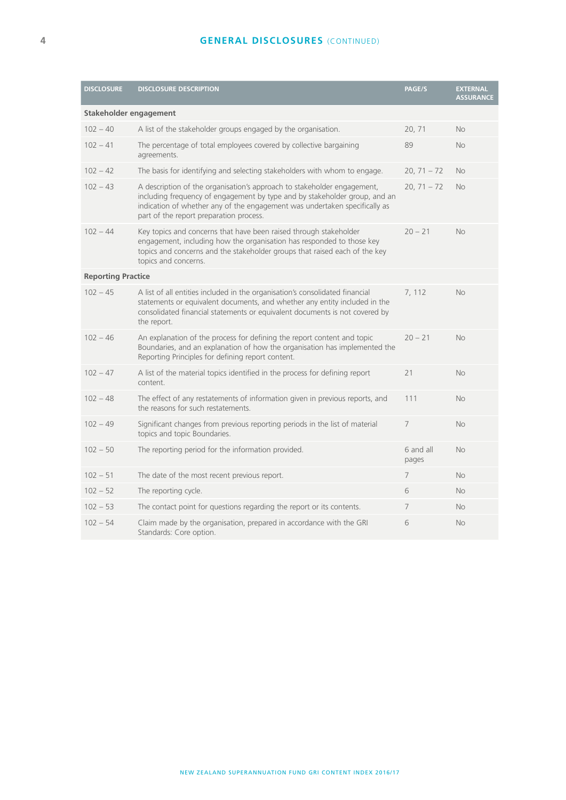#### **GENERAL DISCLOSURES** (CONTINUED)

| <b>DISCLOSURE</b>         | <b>DISCLOSURE DESCRIPTION</b>                                                                                                                                                                                                                                                  | PAGE/S             | <b>EXTERNAL</b><br><b>ASSURANCE</b> |  |  |
|---------------------------|--------------------------------------------------------------------------------------------------------------------------------------------------------------------------------------------------------------------------------------------------------------------------------|--------------------|-------------------------------------|--|--|
| Stakeholder engagement    |                                                                                                                                                                                                                                                                                |                    |                                     |  |  |
| $102 - 40$                | A list of the stakeholder groups engaged by the organisation.                                                                                                                                                                                                                  | 20, 71             | No                                  |  |  |
| $102 - 41$                | The percentage of total employees covered by collective bargaining<br>agreements.                                                                                                                                                                                              | 89                 | No                                  |  |  |
| $102 - 42$                | The basis for identifying and selecting stakeholders with whom to engage.                                                                                                                                                                                                      | $20, 71 - 72$      | <b>No</b>                           |  |  |
| $102 - 43$                | A description of the organisation's approach to stakeholder engagement,<br>including frequency of engagement by type and by stakeholder group, and an<br>indication of whether any of the engagement was undertaken specifically as<br>part of the report preparation process. | $20, 71 - 72$      | No                                  |  |  |
| $102 - 44$                | Key topics and concerns that have been raised through stakeholder<br>engagement, including how the organisation has responded to those key<br>topics and concerns and the stakeholder groups that raised each of the key<br>topics and concerns.                               | $20 - 21$          | No                                  |  |  |
| <b>Reporting Practice</b> |                                                                                                                                                                                                                                                                                |                    |                                     |  |  |
| $102 - 45$                | A list of all entities included in the organisation's consolidated financial<br>statements or equivalent documents, and whether any entity included in the<br>consolidated financial statements or equivalent documents is not covered by<br>the report.                       | 7, 112             | <b>No</b>                           |  |  |
| $102 - 46$                | An explanation of the process for defining the report content and topic<br>Boundaries, and an explanation of how the organisation has implemented the<br>Reporting Principles for defining report content.                                                                     | $20 - 21$          | No                                  |  |  |
| $102 - 47$                | A list of the material topics identified in the process for defining report<br>content.                                                                                                                                                                                        | 21                 | No                                  |  |  |
| $102 - 48$                | The effect of any restatements of information given in previous reports, and<br>the reasons for such restatements.                                                                                                                                                             | 111                | <b>No</b>                           |  |  |
| $102 - 49$                | Significant changes from previous reporting periods in the list of material<br>topics and topic Boundaries.                                                                                                                                                                    | 7                  | No                                  |  |  |
| $102 - 50$                | The reporting period for the information provided.                                                                                                                                                                                                                             | 6 and all<br>pages | <b>No</b>                           |  |  |
| $102 - 51$                | The date of the most recent previous report.                                                                                                                                                                                                                                   | 7                  | No                                  |  |  |
| $102 - 52$                | The reporting cycle.                                                                                                                                                                                                                                                           | 6                  | No                                  |  |  |
| $102 - 53$                | The contact point for questions regarding the report or its contents.                                                                                                                                                                                                          | $\overline{7}$     | No                                  |  |  |
| $102 - 54$                | Claim made by the organisation, prepared in accordance with the GRI<br>Standards: Core option.                                                                                                                                                                                 | 6                  | No                                  |  |  |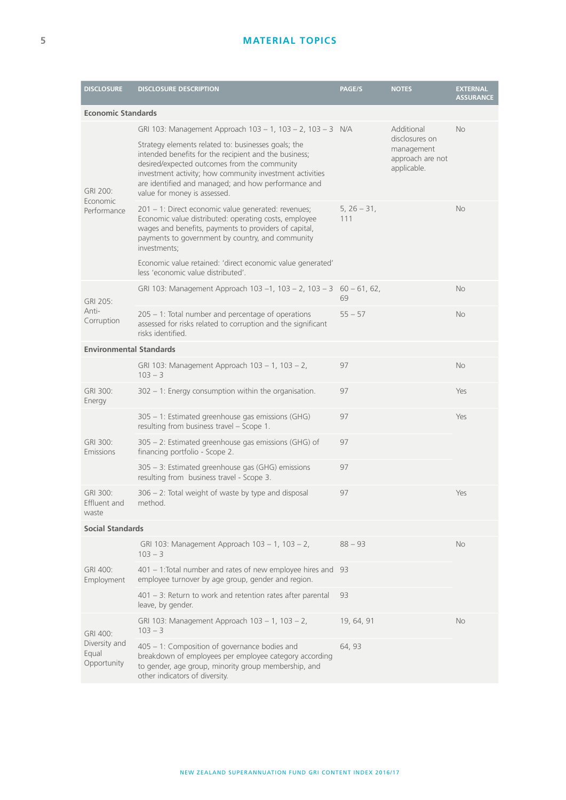#### **MATERIAL TOPICS**

| <b>DISCLOSURE</b>                                 | <b>DISCLOSURE DESCRIPTION</b>                                                                                                                                                                                                                                                                                   | PAGE/S               | <b>NOTES</b>                                                                  | <b>EXTERNAL</b><br><b>ASSURANCE</b> |
|---------------------------------------------------|-----------------------------------------------------------------------------------------------------------------------------------------------------------------------------------------------------------------------------------------------------------------------------------------------------------------|----------------------|-------------------------------------------------------------------------------|-------------------------------------|
| <b>Economic Standards</b>                         |                                                                                                                                                                                                                                                                                                                 |                      |                                                                               |                                     |
|                                                   | GRI 103: Management Approach 103 - 1, 103 - 2, 103 - 3 N/A                                                                                                                                                                                                                                                      |                      | Additional<br>disclosures on<br>management<br>approach are not<br>applicable. | <b>No</b>                           |
| GRI 200:<br>Economic<br>Performance               | Strategy elements related to: businesses goals; the<br>intended benefits for the recipient and the business;<br>desired/expected outcomes from the community<br>investment activity; how community investment activities<br>are identified and managed; and how performance and<br>value for money is assessed. |                      |                                                                               |                                     |
|                                                   | 201 - 1: Direct economic value generated: revenues;<br>Economic value distributed: operating costs, employee<br>wages and benefits, payments to providers of capital,<br>payments to government by country, and community<br>investments;                                                                       | $5, 26 - 31,$<br>111 |                                                                               | <b>No</b>                           |
|                                                   | Economic value retained: 'direct economic value generated'<br>less 'economic value distributed'.                                                                                                                                                                                                                |                      |                                                                               |                                     |
| GRI 205:<br>Anti-<br>Corruption                   | GRI 103: Management Approach 103 -1, 103 - 2, 103 - 3 60 - 61, 62,                                                                                                                                                                                                                                              | 69                   |                                                                               | <b>No</b>                           |
|                                                   | 205 - 1: Total number and percentage of operations<br>assessed for risks related to corruption and the significant<br>risks identified.                                                                                                                                                                         | $55 - 57$            |                                                                               | <b>No</b>                           |
| <b>Environmental Standards</b>                    |                                                                                                                                                                                                                                                                                                                 |                      |                                                                               |                                     |
|                                                   | GRI 103: Management Approach 103 - 1, 103 - 2,<br>$103 - 3$                                                                                                                                                                                                                                                     | 97                   |                                                                               | <b>No</b>                           |
| GRI 300:<br>Energy                                | 302 - 1: Energy consumption within the organisation.                                                                                                                                                                                                                                                            | 97                   |                                                                               | Yes                                 |
|                                                   | 305 - 1: Estimated greenhouse gas emissions (GHG)<br>resulting from business travel - Scope 1.                                                                                                                                                                                                                  | 97                   |                                                                               | Yes                                 |
| GRI 300:<br>Emissions                             | 305 – 2: Estimated greenhouse gas emissions (GHG) of<br>financing portfolio - Scope 2.                                                                                                                                                                                                                          | 97                   |                                                                               |                                     |
|                                                   | 305 - 3: Estimated greenhouse gas (GHG) emissions<br>resulting from business travel - Scope 3.                                                                                                                                                                                                                  | 97                   |                                                                               |                                     |
| GRI 300:<br>Effluent and<br>waste                 | 306 – 2: Total weight of waste by type and disposal<br>method.                                                                                                                                                                                                                                                  | 97                   |                                                                               | Yes                                 |
| <b>Social Standards</b>                           |                                                                                                                                                                                                                                                                                                                 |                      |                                                                               |                                     |
|                                                   | GRI 103: Management Approach 103 - 1, 103 - 2,<br>$103 - 3$                                                                                                                                                                                                                                                     | $88 - 93$            |                                                                               | No                                  |
| GRI 400:<br>Employment                            | 401 - 1: Total number and rates of new employee hires and<br>employee turnover by age group, gender and region.                                                                                                                                                                                                 | 93                   |                                                                               |                                     |
|                                                   | $401 - 3$ : Return to work and retention rates after parental<br>leave, by gender.                                                                                                                                                                                                                              | 93                   |                                                                               |                                     |
| GRI 400:<br>Diversity and<br>Equal<br>Opportunity | GRI 103: Management Approach 103 - 1, 103 - 2,<br>$103 - 3$                                                                                                                                                                                                                                                     | 19, 64, 91           |                                                                               | <b>No</b>                           |
|                                                   | 405 - 1: Composition of governance bodies and<br>breakdown of employees per employee category according<br>to gender, age group, minority group membership, and<br>other indicators of diversity.                                                                                                               | 64, 93               |                                                                               |                                     |